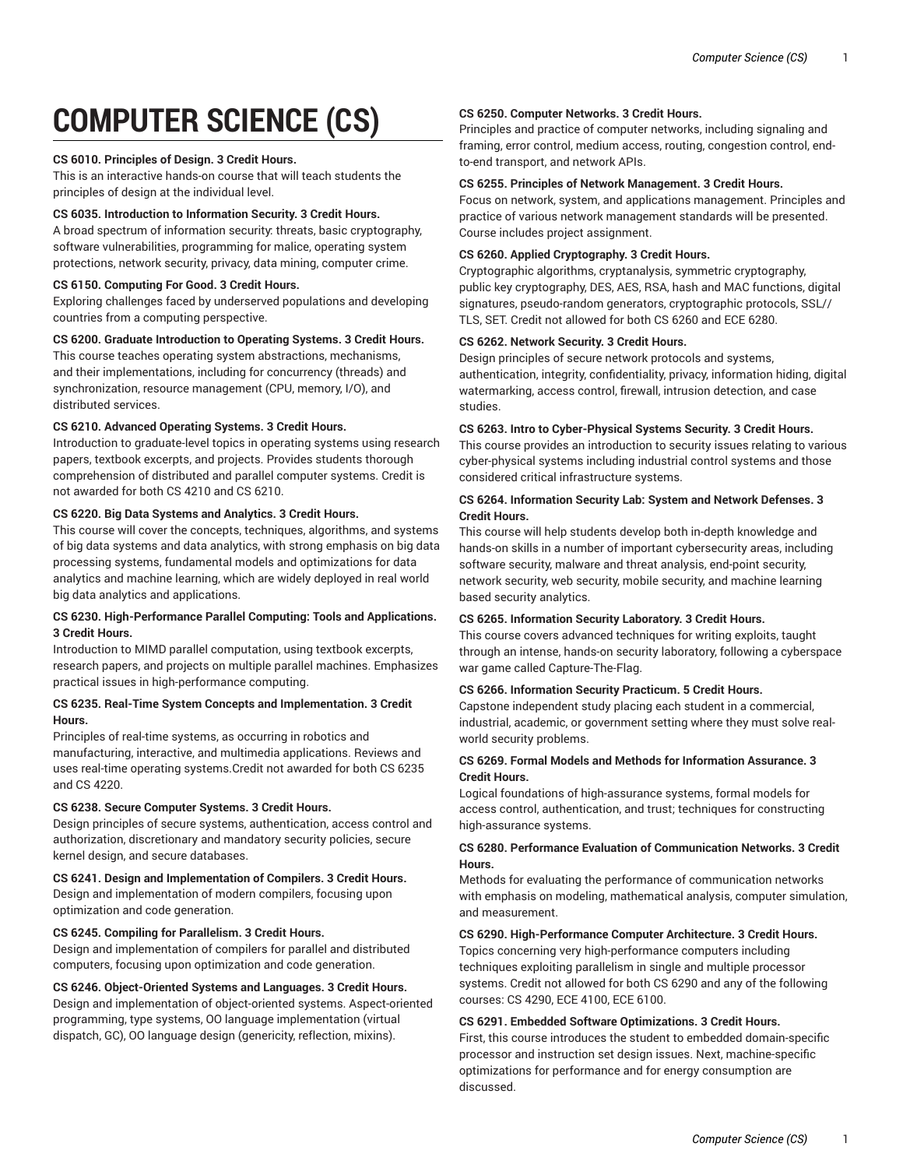# **COMPUTER SCIENCE (CS)**

## **CS 6010. Principles of Design. 3 Credit Hours.**

This is an interactive hands-on course that will teach students the principles of design at the individual level.

# **CS 6035. Introduction to Information Security. 3 Credit Hours.**

A broad spectrum of information security: threats, basic cryptography, software vulnerabilities, programming for malice, operating system protections, network security, privacy, data mining, computer crime.

# **CS 6150. Computing For Good. 3 Credit Hours.**

Exploring challenges faced by underserved populations and developing countries from a computing perspective.

# **CS 6200. Graduate Introduction to Operating Systems. 3 Credit Hours.**

This course teaches operating system abstractions, mechanisms, and their implementations, including for concurrency (threads) and synchronization, resource management (CPU, memory, I/O), and distributed services.

## **CS 6210. Advanced Operating Systems. 3 Credit Hours.**

Introduction to graduate-level topics in operating systems using research papers, textbook excerpts, and projects. Provides students thorough comprehension of distributed and parallel computer systems. Credit is not awarded for both CS 4210 and CS 6210.

## **CS 6220. Big Data Systems and Analytics. 3 Credit Hours.**

This course will cover the concepts, techniques, algorithms, and systems of big data systems and data analytics, with strong emphasis on big data processing systems, fundamental models and optimizations for data analytics and machine learning, which are widely deployed in real world big data analytics and applications.

# **CS 6230. High-Performance Parallel Computing: Tools and Applications. 3 Credit Hours.**

Introduction to MIMD parallel computation, using textbook excerpts, research papers, and projects on multiple parallel machines. Emphasizes practical issues in high-performance computing.

# **CS 6235. Real-Time System Concepts and Implementation. 3 Credit Hours.**

Principles of real-time systems, as occurring in robotics and manufacturing, interactive, and multimedia applications. Reviews and uses real-time operating systems.Credit not awarded for both CS 6235 and CS 4220.

# **CS 6238. Secure Computer Systems. 3 Credit Hours.**

Design principles of secure systems, authentication, access control and authorization, discretionary and mandatory security policies, secure kernel design, and secure databases.

**CS 6241. Design and Implementation of Compilers. 3 Credit Hours.** Design and implementation of modern compilers, focusing upon optimization and code generation.

# **CS 6245. Compiling for Parallelism. 3 Credit Hours.**

Design and implementation of compilers for parallel and distributed computers, focusing upon optimization and code generation.

# **CS 6246. Object-Oriented Systems and Languages. 3 Credit Hours.**

Design and implementation of object-oriented systems. Aspect-oriented programming, type systems, OO language implementation (virtual dispatch, GC), OO language design (genericity, reflection, mixins).

# **CS 6250. Computer Networks. 3 Credit Hours.**

Principles and practice of computer networks, including signaling and framing, error control, medium access, routing, congestion control, endto-end transport, and network APIs.

# **CS 6255. Principles of Network Management. 3 Credit Hours.**

Focus on network, system, and applications management. Principles and practice of various network management standards will be presented. Course includes project assignment.

# **CS 6260. Applied Cryptography. 3 Credit Hours.**

Cryptographic algorithms, cryptanalysis, symmetric cryptography, public key cryptography, DES, AES, RSA, hash and MAC functions, digital signatures, pseudo-random generators, cryptographic protocols, SSL// TLS, SET. Credit not allowed for both CS 6260 and ECE 6280.

# **CS 6262. Network Security. 3 Credit Hours.**

Design principles of secure network protocols and systems, authentication, integrity, confidentiality, privacy, information hiding, digital watermarking, access control, firewall, intrusion detection, and case studies.

# **CS 6263. Intro to Cyber-Physical Systems Security. 3 Credit Hours.**

This course provides an introduction to security issues relating to various cyber-physical systems including industrial control systems and those considered critical infrastructure systems.

# **CS 6264. Information Security Lab: System and Network Defenses. 3 Credit Hours.**

This course will help students develop both in-depth knowledge and hands-on skills in a number of important cybersecurity areas, including software security, malware and threat analysis, end-point security, network security, web security, mobile security, and machine learning based security analytics.

## **CS 6265. Information Security Laboratory. 3 Credit Hours.**

This course covers advanced techniques for writing exploits, taught through an intense, hands-on security laboratory, following a cyberspace war game called Capture-The-Flag.

# **CS 6266. Information Security Practicum. 5 Credit Hours.**

Capstone independent study placing each student in a commercial, industrial, academic, or government setting where they must solve realworld security problems.

# **CS 6269. Formal Models and Methods for Information Assurance. 3 Credit Hours.**

Logical foundations of high-assurance systems, formal models for access control, authentication, and trust; techniques for constructing high-assurance systems.

# **CS 6280. Performance Evaluation of Communication Networks. 3 Credit Hours.**

Methods for evaluating the performance of communication networks with emphasis on modeling, mathematical analysis, computer simulation, and measurement.

#### **CS 6290. High-Performance Computer Architecture. 3 Credit Hours.**

Topics concerning very high-performance computers including techniques exploiting parallelism in single and multiple processor systems. Credit not allowed for both CS 6290 and any of the following courses: CS 4290, ECE 4100, ECE 6100.

# **CS 6291. Embedded Software Optimizations. 3 Credit Hours.**

First, this course introduces the student to embedded domain-specific processor and instruction set design issues. Next, machine-specific optimizations for performance and for energy consumption are discussed.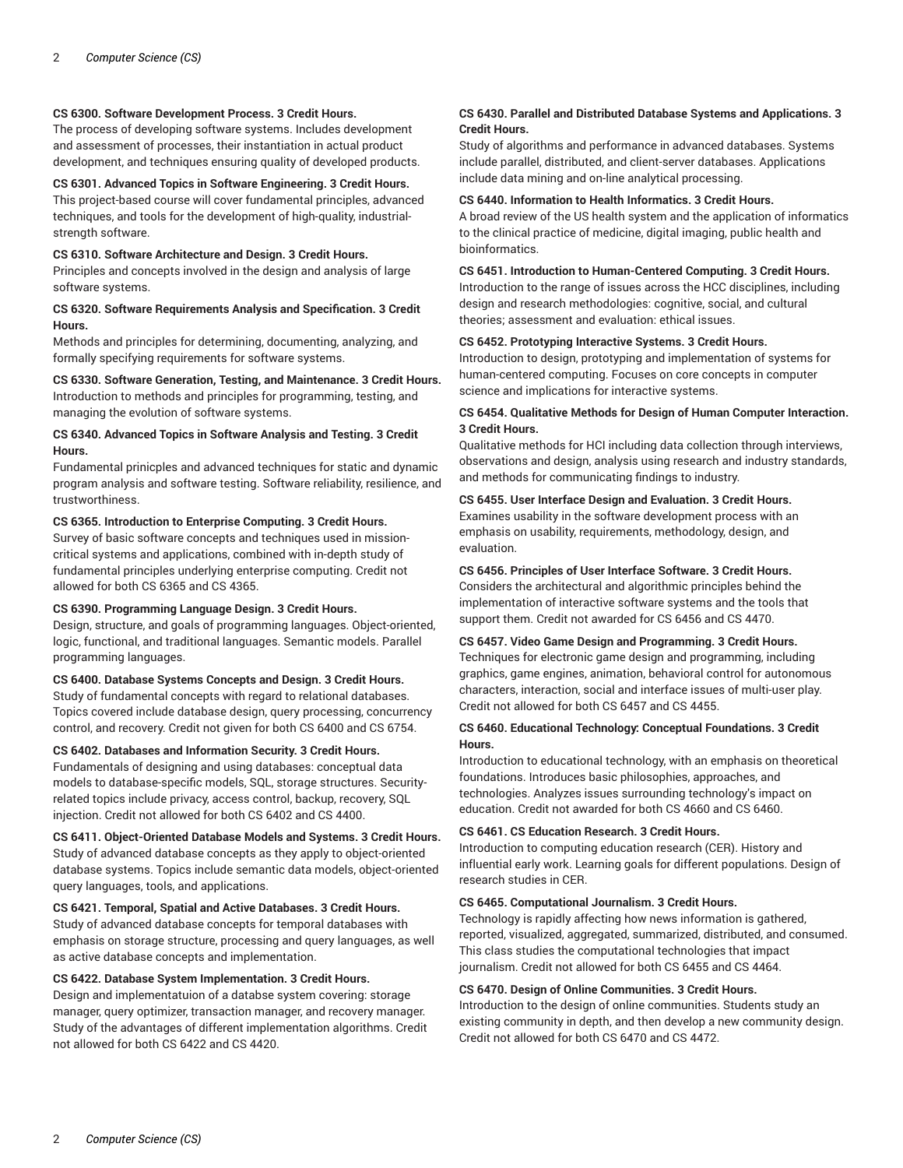# **CS 6300. Software Development Process. 3 Credit Hours.**

The process of developing software systems. Includes development and assessment of processes, their instantiation in actual product development, and techniques ensuring quality of developed products.

# **CS 6301. Advanced Topics in Software Engineering. 3 Credit Hours.**

This project-based course will cover fundamental principles, advanced techniques, and tools for the development of high-quality, industrialstrength software.

# **CS 6310. Software Architecture and Design. 3 Credit Hours.**

Principles and concepts involved in the design and analysis of large software systems.

# **CS 6320. Software Requirements Analysis and Specification. 3 Credit Hours.**

Methods and principles for determining, documenting, analyzing, and formally specifying requirements for software systems.

**CS 6330. Software Generation, Testing, and Maintenance. 3 Credit Hours.** Introduction to methods and principles for programming, testing, and managing the evolution of software systems.

## **CS 6340. Advanced Topics in Software Analysis and Testing. 3 Credit Hours.**

Fundamental prinicples and advanced techniques for static and dynamic program analysis and software testing. Software reliability, resilience, and trustworthiness.

## **CS 6365. Introduction to Enterprise Computing. 3 Credit Hours.**

Survey of basic software concepts and techniques used in missioncritical systems and applications, combined with in-depth study of fundamental principles underlying enterprise computing. Credit not allowed for both CS 6365 and CS 4365.

# **CS 6390. Programming Language Design. 3 Credit Hours.**

Design, structure, and goals of programming languages. Object-oriented, logic, functional, and traditional languages. Semantic models. Parallel programming languages.

# **CS 6400. Database Systems Concepts and Design. 3 Credit Hours.**

Study of fundamental concepts with regard to relational databases. Topics covered include database design, query processing, concurrency control, and recovery. Credit not given for both CS 6400 and CS 6754.

## **CS 6402. Databases and Information Security. 3 Credit Hours.**

Fundamentals of designing and using databases: conceptual data models to database-specific models, SQL, storage structures. Securityrelated topics include privacy, access control, backup, recovery, SQL injection. Credit not allowed for both CS 6402 and CS 4400.

## **CS 6411. Object-Oriented Database Models and Systems. 3 Credit Hours.**

Study of advanced database concepts as they apply to object-oriented database systems. Topics include semantic data models, object-oriented query languages, tools, and applications.

# **CS 6421. Temporal, Spatial and Active Databases. 3 Credit Hours.**

Study of advanced database concepts for temporal databases with emphasis on storage structure, processing and query languages, as well as active database concepts and implementation.

## **CS 6422. Database System Implementation. 3 Credit Hours.**

Design and implementatuion of a databse system covering: storage manager, query optimizer, transaction manager, and recovery manager. Study of the advantages of different implementation algorithms. Credit not allowed for both CS 6422 and CS 4420.

# **CS 6430. Parallel and Distributed Database Systems and Applications. 3 Credit Hours.**

Study of algorithms and performance in advanced databases. Systems include parallel, distributed, and client-server databases. Applications include data mining and on-line analytical processing.

## **CS 6440. Information to Health Informatics. 3 Credit Hours.**

A broad review of the US health system and the application of informatics to the clinical practice of medicine, digital imaging, public health and bioinformatics.

**CS 6451. Introduction to Human-Centered Computing. 3 Credit Hours.** Introduction to the range of issues across the HCC disciplines, including design and research methodologies: cognitive, social, and cultural theories; assessment and evaluation: ethical issues.

## **CS 6452. Prototyping Interactive Systems. 3 Credit Hours.**

Introduction to design, prototyping and implementation of systems for human-centered computing. Focuses on core concepts in computer science and implications for interactive systems.

# **CS 6454. Qualitative Methods for Design of Human Computer Interaction. 3 Credit Hours.**

Qualitative methods for HCI including data collection through interviews, observations and design, analysis using research and industry standards, and methods for communicating findings to industry.

## **CS 6455. User Interface Design and Evaluation. 3 Credit Hours.**

Examines usability in the software development process with an emphasis on usability, requirements, methodology, design, and evaluation.

# **CS 6456. Principles of User Interface Software. 3 Credit Hours.**

Considers the architectural and algorithmic principles behind the implementation of interactive software systems and the tools that support them. Credit not awarded for CS 6456 and CS 4470.

# **CS 6457. Video Game Design and Programming. 3 Credit Hours.**

Techniques for electronic game design and programming, including graphics, game engines, animation, behavioral control for autonomous characters, interaction, social and interface issues of multi-user play. Credit not allowed for both CS 6457 and CS 4455.

# **CS 6460. Educational Technology: Conceptual Foundations. 3 Credit Hours.**

Introduction to educational technology, with an emphasis on theoretical foundations. Introduces basic philosophies, approaches, and technologies. Analyzes issues surrounding technology's impact on education. Credit not awarded for both CS 4660 and CS 6460.

## **CS 6461. CS Education Research. 3 Credit Hours.**

Introduction to computing education research (CER). History and influential early work. Learning goals for different populations. Design of research studies in CER.

### **CS 6465. Computational Journalism. 3 Credit Hours.**

Technology is rapidly affecting how news information is gathered, reported, visualized, aggregated, summarized, distributed, and consumed. This class studies the computational technologies that impact journalism. Credit not allowed for both CS 6455 and CS 4464.

# **CS 6470. Design of Online Communities. 3 Credit Hours.**

Introduction to the design of online communities. Students study an existing community in depth, and then develop a new community design. Credit not allowed for both CS 6470 and CS 4472.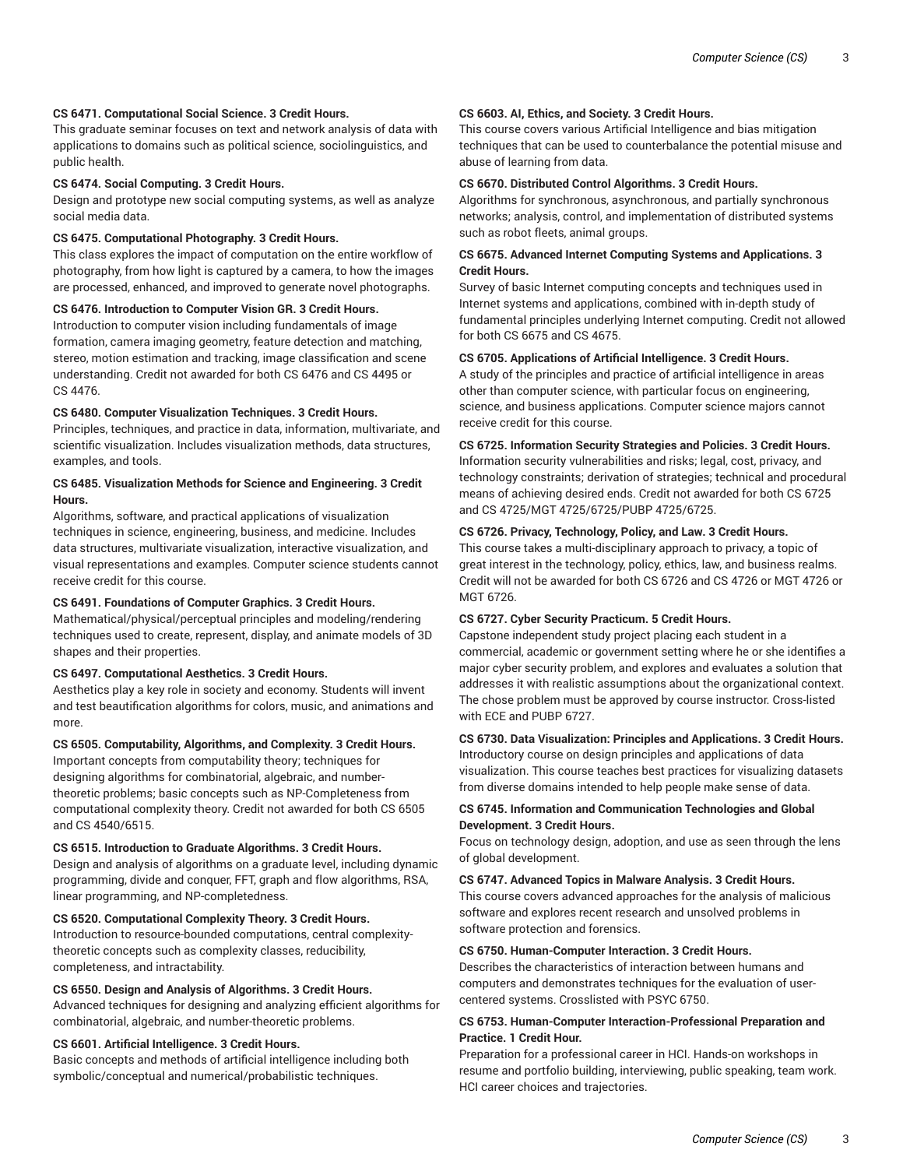# **CS 6471. Computational Social Science. 3 Credit Hours.**

This graduate seminar focuses on text and network analysis of data with applications to domains such as political science, sociolinguistics, and public health.

#### **CS 6474. Social Computing. 3 Credit Hours.**

Design and prototype new social computing systems, as well as analyze social media data.

## **CS 6475. Computational Photography. 3 Credit Hours.**

This class explores the impact of computation on the entire workflow of photography, from how light is captured by a camera, to how the images are processed, enhanced, and improved to generate novel photographs.

## **CS 6476. Introduction to Computer Vision GR. 3 Credit Hours.**

Introduction to computer vision including fundamentals of image formation, camera imaging geometry, feature detection and matching, stereo, motion estimation and tracking, image classification and scene understanding. Credit not awarded for both CS 6476 and CS 4495 or CS 4476.

# **CS 6480. Computer Visualization Techniques. 3 Credit Hours.**

Principles, techniques, and practice in data, information, multivariate, and scientific visualization. Includes visualization methods, data structures, examples, and tools.

# **CS 6485. Visualization Methods for Science and Engineering. 3 Credit Hours.**

Algorithms, software, and practical applications of visualization techniques in science, engineering, business, and medicine. Includes data structures, multivariate visualization, interactive visualization, and visual representations and examples. Computer science students cannot receive credit for this course.

# **CS 6491. Foundations of Computer Graphics. 3 Credit Hours.**

Mathematical/physical/perceptual principles and modeling/rendering techniques used to create, represent, display, and animate models of 3D shapes and their properties.

# **CS 6497. Computational Aesthetics. 3 Credit Hours.**

Aesthetics play a key role in society and economy. Students will invent and test beautification algorithms for colors, music, and animations and more.

# **CS 6505. Computability, Algorithms, and Complexity. 3 Credit Hours.**

Important concepts from computability theory; techniques for designing algorithms for combinatorial, algebraic, and numbertheoretic problems; basic concepts such as NP-Completeness from computational complexity theory. Credit not awarded for both CS 6505 and CS 4540/6515.

#### **CS 6515. Introduction to Graduate Algorithms. 3 Credit Hours.**

Design and analysis of algorithms on a graduate level, including dynamic programming, divide and conquer, FFT, graph and flow algorithms, RSA, linear programming, and NP-completedness.

# **CS 6520. Computational Complexity Theory. 3 Credit Hours.**

Introduction to resource-bounded computations, central complexitytheoretic concepts such as complexity classes, reducibility, completeness, and intractability.

# **CS 6550. Design and Analysis of Algorithms. 3 Credit Hours.**

Advanced techniques for designing and analyzing efficient algorithms for combinatorial, algebraic, and number-theoretic problems.

## **CS 6601. Artificial Intelligence. 3 Credit Hours.**

Basic concepts and methods of artificial intelligence including both symbolic/conceptual and numerical/probabilistic techniques.

## **CS 6603. AI, Ethics, and Society. 3 Credit Hours.**

This course covers various Artificial Intelligence and bias mitigation techniques that can be used to counterbalance the potential misuse and abuse of learning from data.

# **CS 6670. Distributed Control Algorithms. 3 Credit Hours.**

Algorithms for synchronous, asynchronous, and partially synchronous networks; analysis, control, and implementation of distributed systems such as robot fleets, animal groups.

# **CS 6675. Advanced Internet Computing Systems and Applications. 3 Credit Hours.**

Survey of basic Internet computing concepts and techniques used in Internet systems and applications, combined with in-depth study of fundamental principles underlying Internet computing. Credit not allowed for both CS 6675 and CS 4675.

# **CS 6705. Applications of Artificial Intelligence. 3 Credit Hours.**

A study of the principles and practice of artificial intelligence in areas other than computer science, with particular focus on engineering, science, and business applications. Computer science majors cannot receive credit for this course.

# **CS 6725. Information Security Strategies and Policies. 3 Credit Hours.**

Information security vulnerabilities and risks; legal, cost, privacy, and technology constraints; derivation of strategies; technical and procedural means of achieving desired ends. Credit not awarded for both CS 6725 and CS 4725/MGT 4725/6725/PUBP 4725/6725.

## **CS 6726. Privacy, Technology, Policy, and Law. 3 Credit Hours.**

This course takes a multi-disciplinary approach to privacy, a topic of great interest in the technology, policy, ethics, law, and business realms. Credit will not be awarded for both CS 6726 and CS 4726 or MGT 4726 or MGT 6726.

## **CS 6727. Cyber Security Practicum. 5 Credit Hours.**

Capstone independent study project placing each student in a commercial, academic or government setting where he or she identifies a major cyber security problem, and explores and evaluates a solution that addresses it with realistic assumptions about the organizational context. The chose problem must be approved by course instructor. Cross-listed with ECE and PUBP 6727.

# **CS 6730. Data Visualization: Principles and Applications. 3 Credit Hours.**

Introductory course on design principles and applications of data visualization. This course teaches best practices for visualizing datasets from diverse domains intended to help people make sense of data.

# **CS 6745. Information and Communication Technologies and Global Development. 3 Credit Hours.**

Focus on technology design, adoption, and use as seen through the lens of global development.

#### **CS 6747. Advanced Topics in Malware Analysis. 3 Credit Hours.**

This course covers advanced approaches for the analysis of malicious software and explores recent research and unsolved problems in software protection and forensics.

## **CS 6750. Human-Computer Interaction. 3 Credit Hours.**

Describes the characteristics of interaction between humans and computers and demonstrates techniques for the evaluation of usercentered systems. Crosslisted with PSYC 6750.

# **CS 6753. Human-Computer Interaction-Professional Preparation and Practice. 1 Credit Hour.**

Preparation for a professional career in HCI. Hands-on workshops in resume and portfolio building, interviewing, public speaking, team work. HCI career choices and trajectories.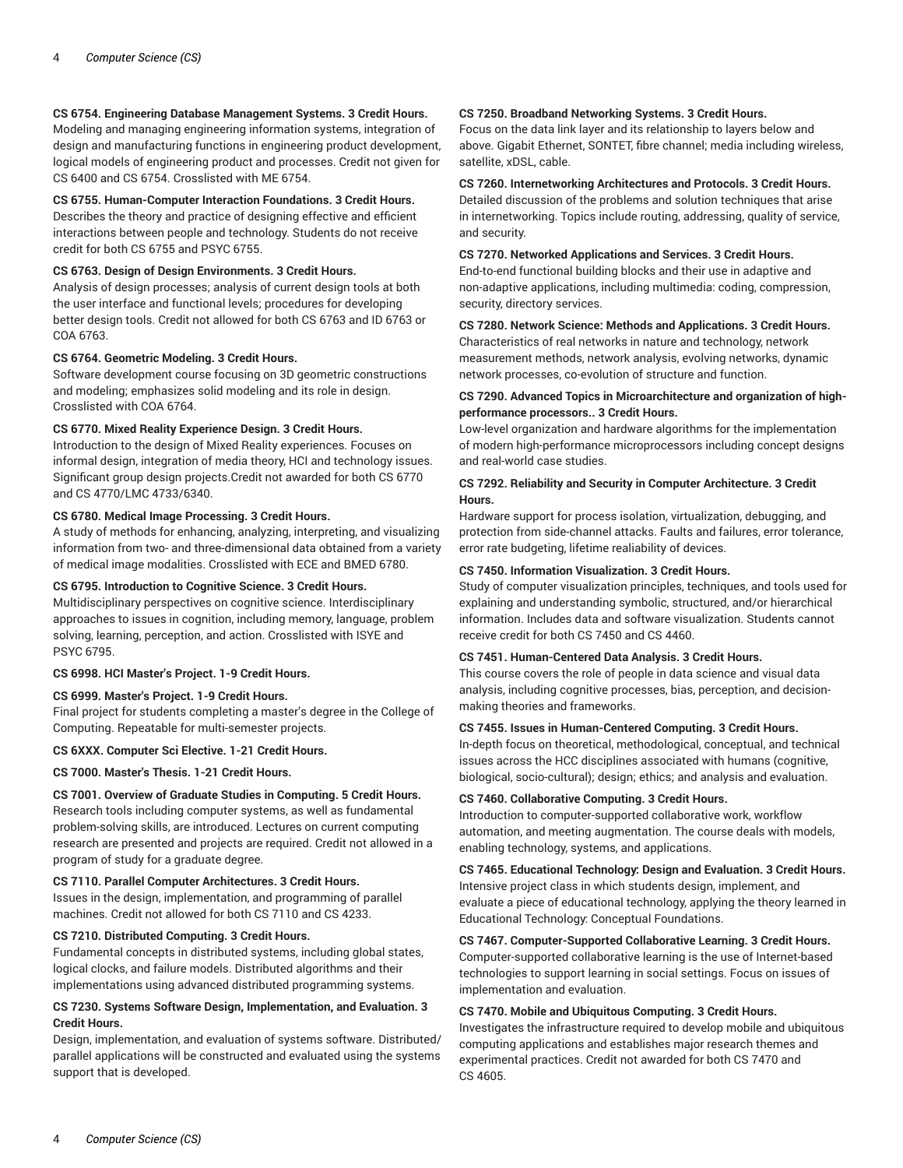# **CS 6754. Engineering Database Management Systems. 3 Credit Hours.**

Modeling and managing engineering information systems, integration of design and manufacturing functions in engineering product development, logical models of engineering product and processes. Credit not given for CS 6400 and CS 6754. Crosslisted with ME 6754.

# **CS 6755. Human-Computer Interaction Foundations. 3 Credit Hours.**

Describes the theory and practice of designing effective and efficient interactions between people and technology. Students do not receive credit for both CS 6755 and PSYC 6755.

## **CS 6763. Design of Design Environments. 3 Credit Hours.**

Analysis of design processes; analysis of current design tools at both the user interface and functional levels; procedures for developing better design tools. Credit not allowed for both CS 6763 and ID 6763 or COA 6763.

## **CS 6764. Geometric Modeling. 3 Credit Hours.**

Software development course focusing on 3D geometric constructions and modeling; emphasizes solid modeling and its role in design. Crosslisted with COA 6764.

# **CS 6770. Mixed Reality Experience Design. 3 Credit Hours.**

Introduction to the design of Mixed Reality experiences. Focuses on informal design, integration of media theory, HCI and technology issues. Significant group design projects.Credit not awarded for both CS 6770 and CS 4770/LMC 4733/6340.

# **CS 6780. Medical Image Processing. 3 Credit Hours.**

A study of methods for enhancing, analyzing, interpreting, and visualizing information from two- and three-dimensional data obtained from a variety of medical image modalities. Crosslisted with ECE and BMED 6780.

## **CS 6795. Introduction to Cognitive Science. 3 Credit Hours.**

Multidisciplinary perspectives on cognitive science. Interdisciplinary approaches to issues in cognition, including memory, language, problem solving, learning, perception, and action. Crosslisted with ISYE and PSYC 6795.

# **CS 6998. HCI Master's Project. 1-9 Credit Hours.**

#### **CS 6999. Master's Project. 1-9 Credit Hours.**

Final project for students completing a master's degree in the College of Computing. Repeatable for multi-semester projects.

#### **CS 6XXX. Computer Sci Elective. 1-21 Credit Hours.**

**CS 7000. Master's Thesis. 1-21 Credit Hours.**

# **CS 7001. Overview of Graduate Studies in Computing. 5 Credit Hours.**

Research tools including computer systems, as well as fundamental problem-solving skills, are introduced. Lectures on current computing research are presented and projects are required. Credit not allowed in a program of study for a graduate degree.

#### **CS 7110. Parallel Computer Architectures. 3 Credit Hours.**

Issues in the design, implementation, and programming of parallel machines. Credit not allowed for both CS 7110 and CS 4233.

## **CS 7210. Distributed Computing. 3 Credit Hours.**

Fundamental concepts in distributed systems, including global states, logical clocks, and failure models. Distributed algorithms and their implementations using advanced distributed programming systems.

# **CS 7230. Systems Software Design, Implementation, and Evaluation. 3 Credit Hours.**

Design, implementation, and evaluation of systems software. Distributed/ parallel applications will be constructed and evaluated using the systems support that is developed.

## **CS 7250. Broadband Networking Systems. 3 Credit Hours.**

Focus on the data link layer and its relationship to layers below and above. Gigabit Ethernet, SONTET, fibre channel; media including wireless, satellite, xDSL, cable.

#### **CS 7260. Internetworking Architectures and Protocols. 3 Credit Hours.**

Detailed discussion of the problems and solution techniques that arise in internetworking. Topics include routing, addressing, quality of service, and security.

# **CS 7270. Networked Applications and Services. 3 Credit Hours.**

End-to-end functional building blocks and their use in adaptive and non-adaptive applications, including multimedia: coding, compression, security, directory services.

# **CS 7280. Network Science: Methods and Applications. 3 Credit Hours.**

Characteristics of real networks in nature and technology, network measurement methods, network analysis, evolving networks, dynamic network processes, co-evolution of structure and function.

## **CS 7290. Advanced Topics in Microarchitecture and organization of highperformance processors.. 3 Credit Hours.**

Low-level organization and hardware algorithms for the implementation of modern high-performance microprocessors including concept designs and real-world case studies.

# **CS 7292. Reliability and Security in Computer Architecture. 3 Credit Hours.**

Hardware support for process isolation, virtualization, debugging, and protection from side-channel attacks. Faults and failures, error tolerance, error rate budgeting, lifetime realiability of devices.

## **CS 7450. Information Visualization. 3 Credit Hours.**

Study of computer visualization principles, techniques, and tools used for explaining and understanding symbolic, structured, and/or hierarchical information. Includes data and software visualization. Students cannot receive credit for both CS 7450 and CS 4460.

## **CS 7451. Human-Centered Data Analysis. 3 Credit Hours.**

This course covers the role of people in data science and visual data analysis, including cognitive processes, bias, perception, and decisionmaking theories and frameworks.

## **CS 7455. Issues in Human-Centered Computing. 3 Credit Hours.**

In-depth focus on theoretical, methodological, conceptual, and technical issues across the HCC disciplines associated with humans (cognitive, biological, socio-cultural); design; ethics; and analysis and evaluation.

## **CS 7460. Collaborative Computing. 3 Credit Hours.**

Introduction to computer-supported collaborative work, workflow automation, and meeting augmentation. The course deals with models, enabling technology, systems, and applications.

# **CS 7465. Educational Technology: Design and Evaluation. 3 Credit Hours.**

Intensive project class in which students design, implement, and evaluate a piece of educational technology, applying the theory learned in Educational Technology: Conceptual Foundations.

# **CS 7467. Computer-Supported Collaborative Learning. 3 Credit Hours.**

Computer-supported collaborative learning is the use of Internet-based technologies to support learning in social settings. Focus on issues of implementation and evaluation.

# **CS 7470. Mobile and Ubiquitous Computing. 3 Credit Hours.**

Investigates the infrastructure required to develop mobile and ubiquitous computing applications and establishes major research themes and experimental practices. Credit not awarded for both CS 7470 and CS 4605.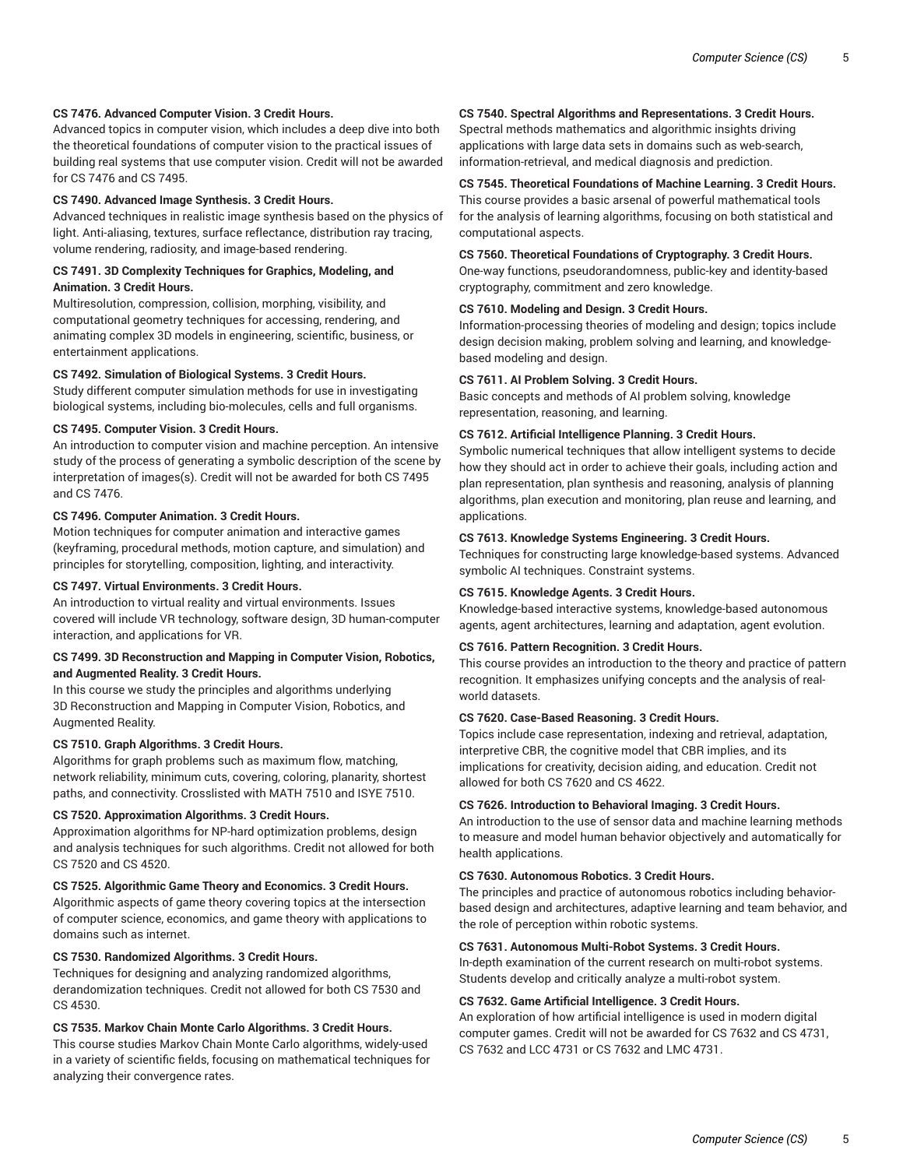# **CS 7476. Advanced Computer Vision. 3 Credit Hours.**

Advanced topics in computer vision, which includes a deep dive into both the theoretical foundations of computer vision to the practical issues of building real systems that use computer vision. Credit will not be awarded for CS 7476 and CS 7495.

## **CS 7490. Advanced Image Synthesis. 3 Credit Hours.**

Advanced techniques in realistic image synthesis based on the physics of light. Anti-aliasing, textures, surface reflectance, distribution ray tracing, volume rendering, radiosity, and image-based rendering.

# **CS 7491. 3D Complexity Techniques for Graphics, Modeling, and Animation. 3 Credit Hours.**

Multiresolution, compression, collision, morphing, visibility, and computational geometry techniques for accessing, rendering, and animating complex 3D models in engineering, scientific, business, or entertainment applications.

# **CS 7492. Simulation of Biological Systems. 3 Credit Hours.**

Study different computer simulation methods for use in investigating biological systems, including bio-molecules, cells and full organisms.

# **CS 7495. Computer Vision. 3 Credit Hours.**

An introduction to computer vision and machine perception. An intensive study of the process of generating a symbolic description of the scene by interpretation of images(s). Credit will not be awarded for both CS 7495 and CS 7476.

## **CS 7496. Computer Animation. 3 Credit Hours.**

Motion techniques for computer animation and interactive games (keyframing, procedural methods, motion capture, and simulation) and principles for storytelling, composition, lighting, and interactivity.

# **CS 7497. Virtual Environments. 3 Credit Hours.**

An introduction to virtual reality and virtual environments. Issues covered will include VR technology, software design, 3D human-computer interaction, and applications for VR.

## **CS 7499. 3D Reconstruction and Mapping in Computer Vision, Robotics, and Augmented Reality. 3 Credit Hours.**

In this course we study the principles and algorithms underlying 3D Reconstruction and Mapping in Computer Vision, Robotics, and Augmented Reality.

# **CS 7510. Graph Algorithms. 3 Credit Hours.**

Algorithms for graph problems such as maximum flow, matching, network reliability, minimum cuts, covering, coloring, planarity, shortest paths, and connectivity. Crosslisted with MATH 7510 and ISYE 7510.

## **CS 7520. Approximation Algorithms. 3 Credit Hours.**

Approximation algorithms for NP-hard optimization problems, design and analysis techniques for such algorithms. Credit not allowed for both CS 7520 and CS 4520.

# **CS 7525. Algorithmic Game Theory and Economics. 3 Credit Hours.**

Algorithmic aspects of game theory covering topics at the intersection of computer science, economics, and game theory with applications to domains such as internet.

## **CS 7530. Randomized Algorithms. 3 Credit Hours.**

Techniques for designing and analyzing randomized algorithms, derandomization techniques. Credit not allowed for both CS 7530 and CS 4530.

## **CS 7535. Markov Chain Monte Carlo Algorithms. 3 Credit Hours.**

This course studies Markov Chain Monte Carlo algorithms, widely-used in a variety of scientific fields, focusing on mathematical techniques for analyzing their convergence rates.

# **CS 7540. Spectral Algorithms and Representations. 3 Credit Hours.**

Spectral methods mathematics and algorithmic insights driving applications with large data sets in domains such as web-search, information-retrieval, and medical diagnosis and prediction.

# **CS 7545. Theoretical Foundations of Machine Learning. 3 Credit Hours.**

This course provides a basic arsenal of powerful mathematical tools for the analysis of learning algorithms, focusing on both statistical and computational aspects.

# **CS 7560. Theoretical Foundations of Cryptography. 3 Credit Hours.**

One-way functions, pseudorandomness, public-key and identity-based cryptography, commitment and zero knowledge.

#### **CS 7610. Modeling and Design. 3 Credit Hours.**

Information-processing theories of modeling and design; topics include design decision making, problem solving and learning, and knowledgebased modeling and design.

#### **CS 7611. AI Problem Solving. 3 Credit Hours.**

Basic concepts and methods of AI problem solving, knowledge representation, reasoning, and learning.

# **CS 7612. Artificial Intelligence Planning. 3 Credit Hours.**

Symbolic numerical techniques that allow intelligent systems to decide how they should act in order to achieve their goals, including action and plan representation, plan synthesis and reasoning, analysis of planning algorithms, plan execution and monitoring, plan reuse and learning, and applications.

## **CS 7613. Knowledge Systems Engineering. 3 Credit Hours.**

Techniques for constructing large knowledge-based systems. Advanced symbolic AI techniques. Constraint systems.

# **CS 7615. Knowledge Agents. 3 Credit Hours.**

Knowledge-based interactive systems, knowledge-based autonomous agents, agent architectures, learning and adaptation, agent evolution.

# **CS 7616. Pattern Recognition. 3 Credit Hours.**

This course provides an introduction to the theory and practice of pattern recognition. It emphasizes unifying concepts and the analysis of realworld datasets.

#### **CS 7620. Case-Based Reasoning. 3 Credit Hours.**

Topics include case representation, indexing and retrieval, adaptation, interpretive CBR, the cognitive model that CBR implies, and its implications for creativity, decision aiding, and education. Credit not allowed for both CS 7620 and CS 4622.

## **CS 7626. Introduction to Behavioral Imaging. 3 Credit Hours.**

An introduction to the use of sensor data and machine learning methods to measure and model human behavior objectively and automatically for health applications.

# **CS 7630. Autonomous Robotics. 3 Credit Hours.**

The principles and practice of autonomous robotics including behaviorbased design and architectures, adaptive learning and team behavior, and the role of perception within robotic systems.

# **CS 7631. Autonomous Multi-Robot Systems. 3 Credit Hours.**

In-depth examination of the current research on multi-robot systems. Students develop and critically analyze a multi-robot system.

## **CS 7632. Game Artificial Intelligence. 3 Credit Hours.**

An exploration of how artificial intelligence is used in modern digital computer games. Credit will not be awarded for CS 7632 and CS 4731, CS 7632 and LCC 4731 or CS 7632 and LMC 4731.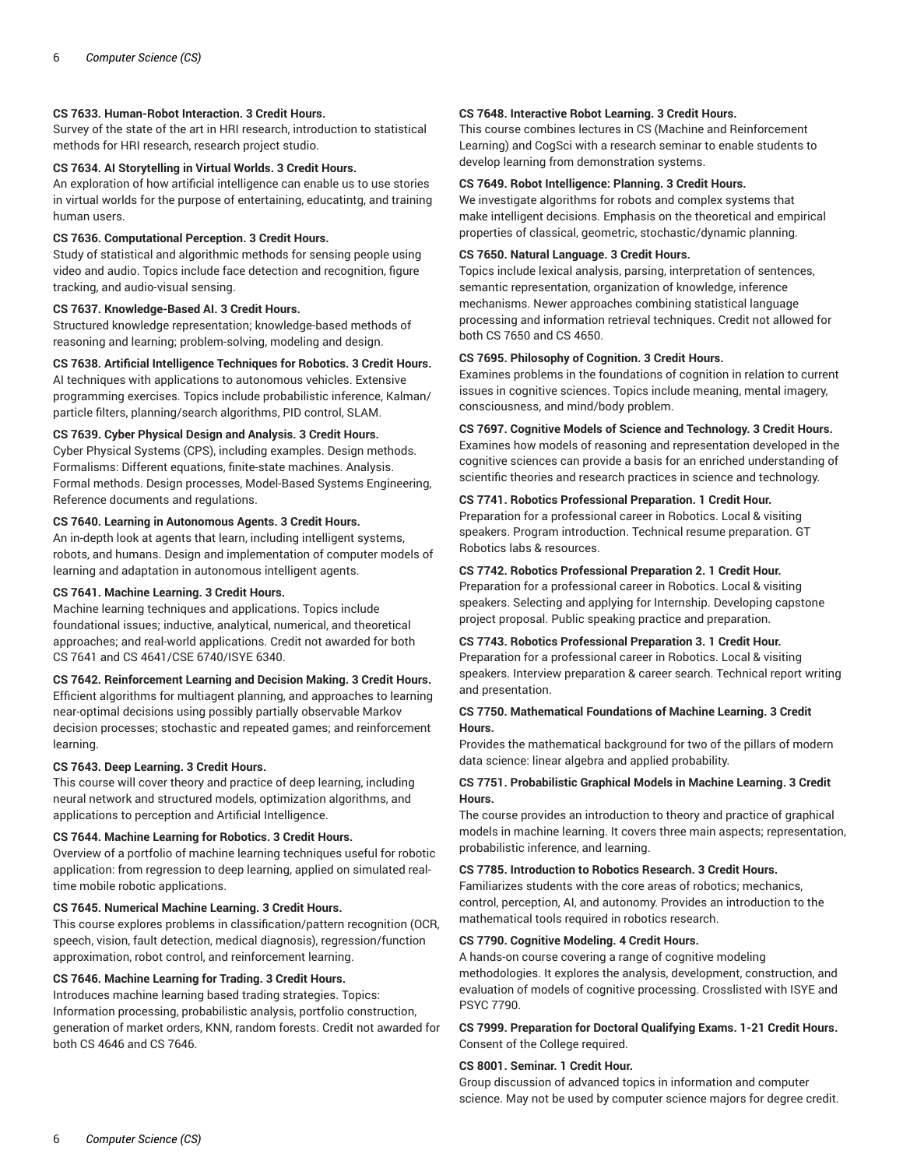# **CS 7633. Human-Robot Interaction. 3 Credit Hours.**

Survey of the state of the art in HRI research, introduction to statistical methods for HRI research, research project studio.

# **CS 7634. AI Storytelling in Virtual Worlds. 3 Credit Hours.**

An exploration of how artificial intelligence can enable us to use stories in virtual worlds for the purpose of entertaining, educatintg, and training human users.

## **CS 7636. Computational Perception. 3 Credit Hours.**

Study of statistical and algorithmic methods for sensing people using video and audio. Topics include face detection and recognition, figure tracking, and audio-visual sensing.

## **CS 7637. Knowledge-Based AI. 3 Credit Hours.**

Structured knowledge representation; knowledge-based methods of reasoning and learning; problem-solving, modeling and design.

# **CS 7638. Artificial Intelligence Techniques for Robotics. 3 Credit Hours.**

AI techniques with applications to autonomous vehicles. Extensive programming exercises. Topics include probabilistic inference, Kalman/ particle filters, planning/search algorithms, PID control, SLAM.

## **CS 7639. Cyber Physical Design and Analysis. 3 Credit Hours.**

Cyber Physical Systems (CPS), including examples. Design methods. Formalisms: Different equations, finite-state machines. Analysis. Formal methods. Design processes, Model-Based Systems Engineering, Reference documents and regulations.

## **CS 7640. Learning in Autonomous Agents. 3 Credit Hours.**

An in-depth look at agents that learn, including intelligent systems, robots, and humans. Design and implementation of computer models of learning and adaptation in autonomous intelligent agents.

# **CS 7641. Machine Learning. 3 Credit Hours.**

Machine learning techniques and applications. Topics include foundational issues; inductive, analytical, numerical, and theoretical approaches; and real-world applications. Credit not awarded for both CS 7641 and CS 4641/CSE 6740/ISYE 6340.

# **CS 7642. Reinforcement Learning and Decision Making. 3 Credit Hours.**

Efficient algorithms for multiagent planning, and approaches to learning near-optimal decisions using possibly partially observable Markov decision processes; stochastic and repeated games; and reinforcement learning.

#### **CS 7643. Deep Learning. 3 Credit Hours.**

This course will cover theory and practice of deep learning, including neural network and structured models, optimization algorithms, and applications to perception and Artificial Intelligence.

## **CS 7644. Machine Learning for Robotics. 3 Credit Hours.**

Overview of a portfolio of machine learning techniques useful for robotic application: from regression to deep learning, applied on simulated realtime mobile robotic applications.

# **CS 7645. Numerical Machine Learning. 3 Credit Hours.**

This course explores problems in classification/pattern recognition (OCR, speech, vision, fault detection, medical diagnosis), regression/function approximation, robot control, and reinforcement learning.

## **CS 7646. Machine Learning for Trading. 3 Credit Hours.**

Introduces machine learning based trading strategies. Topics: Information processing, probabilistic analysis, portfolio construction, generation of market orders, KNN, random forests. Credit not awarded for both CS 4646 and CS 7646.

# **CS 7648. Interactive Robot Learning. 3 Credit Hours.**

This course combines lectures in CS (Machine and Reinforcement Learning) and CogSci with a research seminar to enable students to develop learning from demonstration systems.

# **CS 7649. Robot Intelligence: Planning. 3 Credit Hours.**

We investigate algorithms for robots and complex systems that make intelligent decisions. Emphasis on the theoretical and empirical properties of classical, geometric, stochastic/dynamic planning.

## **CS 7650. Natural Language. 3 Credit Hours.**

Topics include lexical analysis, parsing, interpretation of sentences, semantic representation, organization of knowledge, inference mechanisms. Newer approaches combining statistical language processing and information retrieval techniques. Credit not allowed for both CS 7650 and CS 4650.

# **CS 7695. Philosophy of Cognition. 3 Credit Hours.**

Examines problems in the foundations of cognition in relation to current issues in cognitive sciences. Topics include meaning, mental imagery, consciousness, and mind/body problem.

# **CS 7697. Cognitive Models of Science and Technology. 3 Credit Hours.**

Examines how models of reasoning and representation developed in the cognitive sciences can provide a basis for an enriched understanding of scientific theories and research practices in science and technology.

## **CS 7741. Robotics Professional Preparation. 1 Credit Hour.**

Preparation for a professional career in Robotics. Local & visiting speakers. Program introduction. Technical resume preparation. GT Robotics labs & resources.

## **CS 7742. Robotics Professional Preparation 2. 1 Credit Hour.**

Preparation for a professional career in Robotics. Local & visiting speakers. Selecting and applying for Internship. Developing capstone project proposal. Public speaking practice and preparation.

# **CS 7743. Robotics Professional Preparation 3. 1 Credit Hour.**

Preparation for a professional career in Robotics. Local & visiting speakers. Interview preparation & career search. Technical report writing and presentation.

# **CS 7750. Mathematical Foundations of Machine Learning. 3 Credit Hours.**

Provides the mathematical background for two of the pillars of modern data science: linear algebra and applied probability.

# **CS 7751. Probabilistic Graphical Models in Machine Learning. 3 Credit Hours.**

The course provides an introduction to theory and practice of graphical models in machine learning. It covers three main aspects; representation, probabilistic inference, and learning.

# **CS 7785. Introduction to Robotics Research. 3 Credit Hours.**

Familiarizes students with the core areas of robotics; mechanics, control, perception, AI, and autonomy. Provides an introduction to the mathematical tools required in robotics research.

## **CS 7790. Cognitive Modeling. 4 Credit Hours.**

A hands-on course covering a range of cognitive modeling methodologies. It explores the analysis, development, construction, and evaluation of models of cognitive processing. Crosslisted with ISYE and PSYC 7790.

**CS 7999. Preparation for Doctoral Qualifying Exams. 1-21 Credit Hours.** Consent of the College required.

# **CS 8001. Seminar. 1 Credit Hour.**

Group discussion of advanced topics in information and computer science. May not be used by computer science majors for degree credit.